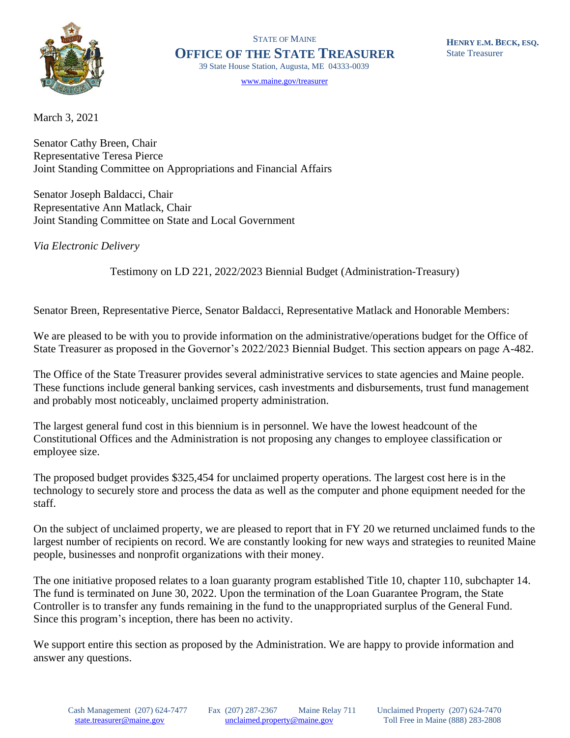

STATE OF MAINE **OFFICE OF THE STATE TREASURER** 39 State House Station, Augusta, ME 04333-0039

[www.maine.gov/treasurer](http://www.maine.gov/treasurer) 

March 3, 2021

Senator Cathy Breen, Chair Representative Teresa Pierce Joint Standing Committee on Appropriations and Financial Affairs

Senator Joseph Baldacci, Chair Representative Ann Matlack, Chair Joint Standing Committee on State and Local Government

*Via Electronic Delivery*

Testimony on LD 221, 2022/2023 Biennial Budget (Administration-Treasury)

Senator Breen, Representative Pierce, Senator Baldacci, Representative Matlack and Honorable Members:

We are pleased to be with you to provide information on the administrative/operations budget for the Office of State Treasurer as proposed in the Governor's 2022/2023 Biennial Budget. This section appears on page A-482.

The Office of the State Treasurer provides several administrative services to state agencies and Maine people. These functions include general banking services, cash investments and disbursements, trust fund management and probably most noticeably, unclaimed property administration.

The largest general fund cost in this biennium is in personnel. We have the lowest headcount of the Constitutional Offices and the Administration is not proposing any changes to employee classification or employee size.

The proposed budget provides \$325,454 for unclaimed property operations. The largest cost here is in the technology to securely store and process the data as well as the computer and phone equipment needed for the staff.

On the subject of unclaimed property, we are pleased to report that in FY 20 we returned unclaimed funds to the largest number of recipients on record. We are constantly looking for new ways and strategies to reunited Maine people, businesses and nonprofit organizations with their money.

The one initiative proposed relates to a loan guaranty program established Title 10, chapter 110, subchapter 14. The fund is terminated on June 30, 2022. Upon the termination of the Loan Guarantee Program, the State Controller is to transfer any funds remaining in the fund to the unappropriated surplus of the General Fund. Since this program's inception, there has been no activity.

We support entire this section as proposed by the Administration. We are happy to provide information and answer any questions.